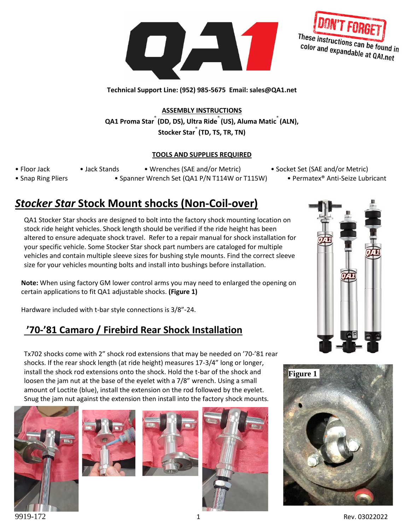



**Technical Support Line: (952) 985-5675 Email: sales@QA1.net**

**ASSEMBLY INSTRUCTIONS QA1 Proma Star**® **(DD, DS), Ultra Ride**® **(US), Aluma Matic**® **(ALN), Stocker Star**® **(TD, TS, TR, TN)**

#### **TOOLS AND SUPPLIES REQUIRED**

- 
- 

• Snap Ring Pliers • Spanner Wrench Set (QA1 P/N T114W or T115W) • Permatex® Anti-Seize Lubricant

• Floor Jack • Jack Stands • Wrenches (SAE and/or Metric) • Socket Set (SAE and/or Metric)

# *Stocker Star* **Stock Mount shocks (Non-Coil-over)**

QA1 Stocker Star shocks are designed to bolt into the factory shock mounting location on stock ride height vehicles. Shock length should be verified if the ride height has been altered to ensure adequate shock travel. Refer to a repair manual for shock installation for your specific vehicle. Some Stocker Star shock part numbers are cataloged for multiple vehicles and contain multiple sleeve sizes for bushing style mounts. Find the correct sleeve size for your vehicles mounting bolts and install into bushings before installation.

**Note:** When using factory GM lower control arms you may need to enlarged the opening on certain applications to fit QA1 adjustable shocks. **(Figure 1)**

Hardware included with t-bar style connections is 3/8"-24.

## **'70-'81 Camaro / Firebird Rear Shock Installation**

Tx702 shocks come with 2" shock rod extensions that may be needed on '70-'81 rear shocks. If the rear shock length (at ride height) measures 17-3/4" long or longer, install the shock rod extensions onto the shock. Hold the t-bar of the shock and loosen the jam nut at the base of the eyelet with a 7/8" wrench. Using a small amount of Loctite (blue), install the extension on the rod followed by the eyelet. Snug the jam nut against the extension then install into the factory shock mounts.











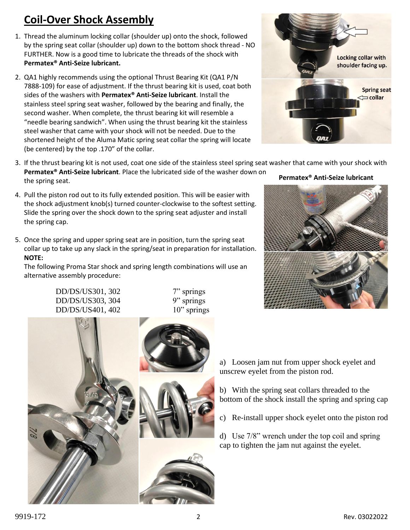# **Coil-Over Shock Assembly**

- 1. Thread the aluminum locking collar (shoulder up) onto the shock, followed by the spring seat collar (shoulder up) down to the bottom shock thread - NO FURTHER. Now is a good time to lubricate the threads of the shock with **Permatex® Anti-Seize lubricant.**
- 2. QA1 highly recommends using the optional Thrust Bearing Kit (QA1 P/N 7888-109) for ease of adjustment. If the thrust bearing kit is used, coat both sides of the washers with **Permatex® Anti-Seize lubricant**. Install the stainless steel spring seat washer, followed by the bearing and finally, the second washer. When complete, the thrust bearing kit will resemble a "needle bearing sandwich". When using the thrust bearing kit the stainless steel washer that came with your shock will not be needed. Due to the shortened height of the Aluma Matic spring seat collar the spring will locate (be centered) by the top .170" of the collar.



- 3. If the thrust bearing kit is not used, coat one side of the stainless steel spring seat washer that came with your shock with **Permatex® Anti-Seize lubricant**. Place the lubricated side of the washer down on the spring seat. **Permatex® Anti-Seize lubricant**
- 4. Pull the piston rod out to its fully extended position. This will be easier with the shock adjustment knob(s) turned counter-clockwise to the softest setting. Slide the spring over the shock down to the spring seat adjuster and install the spring cap.
- 5. Once the spring and upper spring seat are in position, turn the spring seat collar up to take up any slack in the spring/seat in preparation for installation. **NOTE:**

The following Proma Star shock and spring length combinations will use an alternative assembly procedure:

> DD/DS/US301, 302 7" springs DD/DS/US303, 304 9" springs DD/DS/US401, 402 10" springs





a) Loosen jam nut from upper shock eyelet and unscrew eyelet from the piston rod.

b) With the spring seat collars threaded to the bottom of the shock install the spring and spring cap

c) Re-install upper shock eyelet onto the piston rod

d) Use 7/8" wrench under the top coil and spring cap to tighten the jam nut against the eyelet.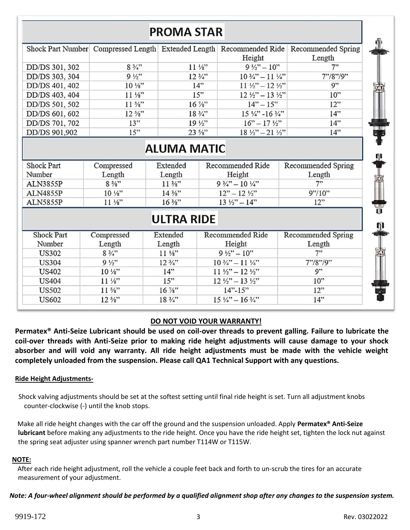# **PROMA STAR**

|                |                    |                   | Height                             | Shock Part Number Compressed Length Extended Length Recommended Ride Recommended Spring<br>Length |
|----------------|--------------------|-------------------|------------------------------------|---------------------------------------------------------------------------------------------------|
| DD/DS 301, 302 | $8\frac{3}{4}$ "   | $11\frac{1}{8}$   | $9\frac{1}{2}$ – 10"               | 7"                                                                                                |
| DD/DS 303, 304 | $9\frac{1}{2}$     | $12\frac{3}{4}$ " | $10\frac{3}{4}$ – 11 $\frac{1}{4}$ | 7" / 8" / 9"                                                                                      |
| DD/DS 401, 402 | $10\frac{1}{8}$    | 14"               | $11\frac{1}{2}$ – 12 $\frac{1}{2}$ | 9"                                                                                                |
| DD/DS 403, 404 | $11\frac{1}{8}$    | 15"               | $12\frac{1}{2}$ – 13 $\frac{1}{2}$ | 10"                                                                                               |
| DD/DS 501, 502 | $11 \frac{5}{8}$ " | 16 %"             | $14" - 15"$                        | 12"                                                                                               |
| DD/DS 601, 602 | $12\frac{s}{s}$ "  | 18 3/4"           | $15\frac{1}{4}$ - $16\frac{3}{4}$  | 14"                                                                                               |
| DD/DS 701, 702 | 13"                | $19\frac{1}{2}$   | $16" - 17\frac{1}{2}"$             | 14"                                                                                               |
|                | 15"                | 23.5/22           | $18^{1/22}$ $21^{1/22}$            | $14$ <sup>22</sup>                                                                                |

# **ALUMA MATIC**

| <b>Shock Part</b><br>Number | Compressed<br>Length | Extended<br>Length | Recommended Ride<br>Height        | Recommended Spring<br>Length |
|-----------------------------|----------------------|--------------------|-----------------------------------|------------------------------|
| ALN3855P                    | $8\frac{5}{8}$ "     | $11\frac{3}{8}$ "  | $9\frac{3}{4}$ – 10 $\frac{1}{4}$ | 7                            |
| <b>ALN4855P</b>             | $10\frac{1}{8}$      | $14\frac{3}{8}$ "  | $12" - 12\frac{1}{2}$             | 9''/10''                     |
| ALN5855P                    | $11\frac{1}{8}$      | $16\frac{3}{8}$    | $13\frac{1}{2}$ – $14$ "          | 12"                          |

# **ULTRA RIDE**

| <b>Shock Part</b> | Compressed         | Extended        | Recommended Ride                   | Recommended Spring |
|-------------------|--------------------|-----------------|------------------------------------|--------------------|
| Number            | Length             | Length          | Height                             | Length             |
| <b>US302</b>      | $8\frac{3}{4}$ "   | $11\frac{1}{8}$ | $9\frac{1}{2}$ – 10"               | 7"                 |
| <b>US304</b>      | $9\frac{1}{2}$     | $12\frac{3}{4}$ | $10\frac{3}{4}$ – 11 $\frac{1}{4}$ | 7" / 8" / 9"       |
| <b>US402</b>      | $10\frac{1}{8}$    | 14"             | $11\frac{1}{2} - 12\frac{1}{2}$    | Q''                |
| <b>US404</b>      | $11\frac{1}{8}$    | 15"             | $12\frac{1}{2}$ – 13 $\frac{1}{2}$ | 10"                |
| <b>US502</b>      | $11 \frac{5}{8}$ " | $16\frac{7}{8}$ | $14" - 15"$                        | 12"                |
| <b>US602</b>      | $12\frac{5}{8}$ "  | 18 3/4"         | $15\frac{1}{4} - 16\frac{3}{4}$    | 14"                |

#### **DO NOT VOID YOUR WARRANTY!**

**Permatex® Anti-Seize Lubricant should be used on coil-over threads to prevent galling. Failure to lubricate the coil-over threads with Anti-Seize prior to making ride height adjustments will cause damage to your shock absorber and will void any warranty. All ride height adjustments must be made with the vehicle weight completely unloaded from the suspension. Please call QA1 Technical Support with any questions.**

#### **Ride Height Adjustments-**

 Shock valving adjustments should be set at the softest setting until final ride height is set. Turn all adjustment knobs counter-clockwise (-) until the knob stops.

 Make all ride height changes with the car off the ground and the suspension unloaded. Apply **Permatex® Anti-Seize lubricant** before making any adjustments to the ride height. Once you have the ride height set, tighten the lock nut against the spring seat adjuster using spanner wrench part number T114W or T115W.

#### **NOTE:**

 After each ride height adjustment, roll the vehicle a couple feet back and forth to un-scrub the tires for an accurate measurement of your adjustment.

#### *Note: A four-wheel alignment should be performed by a qualified alignment shop after any changes to the suspension system.*

宓 ┃ Ⅱ